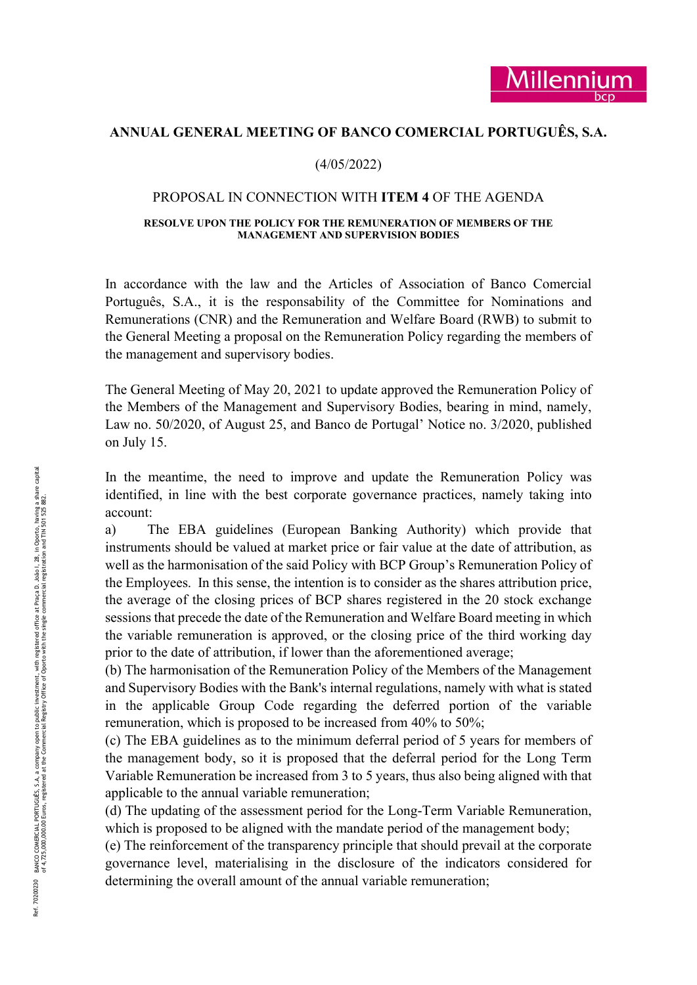# ANNUAL GENERAL MEETING OF BANCO COMERCIAL PORTUGUÊS, S.A.

### (4/05/2022)

#### PROPOSAL IN CONNECTION WITH ITEM 4 OF THE AGENDA

#### RESOLVE UPON THE POLICY FOR THE REMUNERATION OF MEMBERS OF THE MANAGEMENT AND SUPERVISION BODIES

In accordance with the law and the Articles of Association of Banco Comercial Português, S.A., it is the responsability of the Committee for Nominations and Remunerations (CNR) and the Remuneration and Welfare Board (RWB) to submit to the General Meeting a proposal on the Remuneration Policy regarding the members of the management and supervisory bodies.

The General Meeting of May 20, 2021 to update approved the Remuneration Policy of the Members of the Management and Supervisory Bodies, bearing in mind, namely, Law no. 50/2020, of August 25, and Banco de Portugal' Notice no. 3/2020, published on July 15.

In the meantime, the need to improve and update the Remuneration Policy was identified, in line with the best corporate governance practices, namely taking into account:

From the meantime, the identified, in line with account:<br>
a) The EBA guid instruments should be v<br>
well as the harmonisatic the Employees. In this is the average of the closs<br>
sessions that precede the the variable remune a) The EBA guidelines (European Banking Authority) which provide that instruments should be valued at market price or fair value at the date of attribution, as well as the harmonisation of the said Policy with BCP Group's Remuneration Policy of the Employees. In this sense, the intention is to consider as the shares attribution price, the average of the closing prices of BCP shares registered in the 20 stock exchange sessions that precede the date of the Remuneration and Welfare Board meeting in which the variable remuneration is approved, or the closing price of the third working day prior to the date of attribution, if lower than the aforementioned average;

(b) The harmonisation of the Remuneration Policy of the Members of the Management and Supervisory Bodies with the Bank's internal regulations, namely with what is stated in the applicable Group Code regarding the deferred portion of the variable remuneration, which is proposed to be increased from 40% to 50%;

(c) The EBA guidelines as to the minimum deferral period of 5 years for members of the management body, so it is proposed that the deferral period for the Long Term Variable Remuneration be increased from 3 to 5 years, thus also being aligned with that applicable to the annual variable remuneration;

(d) The updating of the assessment period for the Long-Term Variable Remuneration, which is proposed to be aligned with the mandate period of the management body;

(e) The reinforcement of the transparency principle that should prevail at the corporate governance level, materialising in the disclosure of the indicators considered for determining the overall amount of the annual variable remuneration;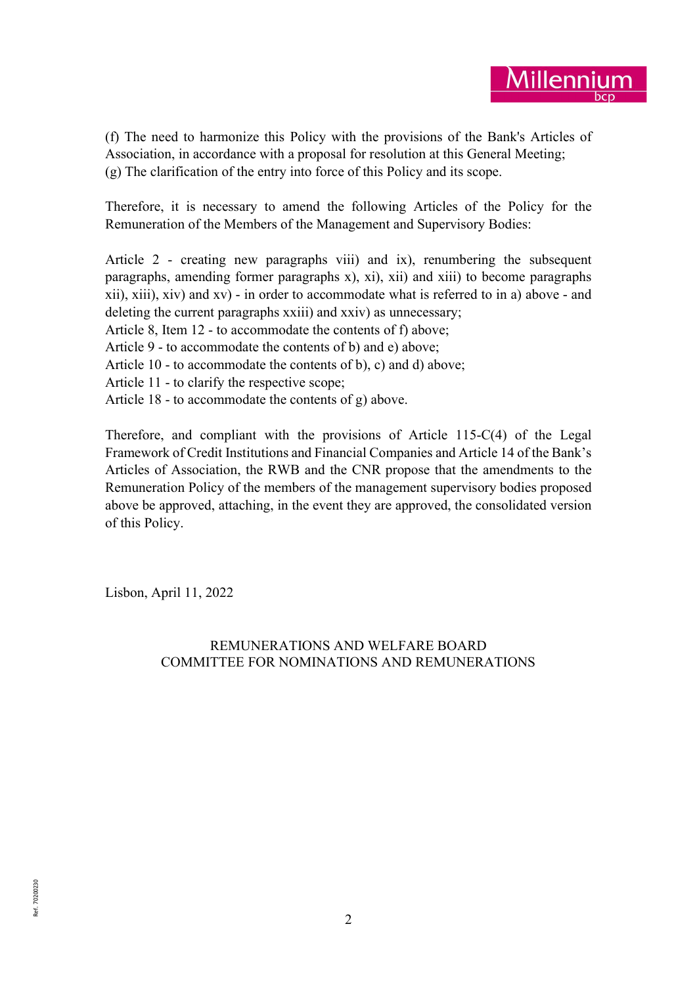

(f) The need to harmonize this Policy with the provisions of the Bank's Articles of Association, in accordance with a proposal for resolution at this General Meeting; (g) The clarification of the entry into force of this Policy and its scope.

Therefore, it is necessary to amend the following Articles of the Policy for the Remuneration of the Members of the Management and Supervisory Bodies:

Article 2 - creating new paragraphs viii) and ix), renumbering the subsequent paragraphs, amending former paragraphs x), xi), xii) and xiii) to become paragraphs xii), xiii), xiv) and xv) - in order to accommodate what is referred to in a) above - and deleting the current paragraphs xxiii) and xxiv) as unnecessary; Article 8, Item 12 - to accommodate the contents of f) above; Article 9 - to accommodate the contents of b) and e) above; Article 10 - to accommodate the contents of b), c) and d) above;

Article 11 - to clarify the respective scope;

Article 18 - to accommodate the contents of g) above.

Therefore, and compliant with the provisions of Article 115-C(4) of the Legal Framework of Credit Institutions and Financial Companies and Article 14 of the Bank's Articles of Association, the RWB and the CNR propose that the amendments to the Remuneration Policy of the members of the management supervisory bodies proposed above be approved, attaching, in the event they are approved, the consolidated version of this Policy.

Lisbon, April 11, 2022

# REMUNERATIONS AND WELFARE BOARD COMMITTEE FOR NOMINATIONS AND REMUNERATIONS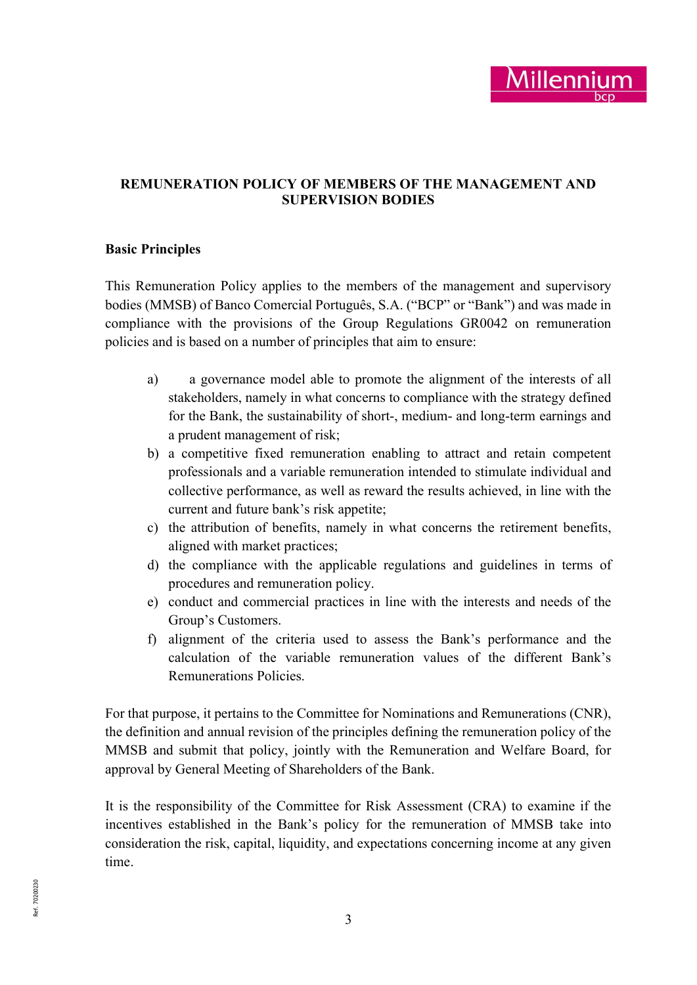

# REMUNERATION POLICY OF MEMBERS OF THE MANAGEMENT AND SUPERVISION BODIES

### Basic Principles

This Remuneration Policy applies to the members of the management and supervisory bodies (MMSB) of Banco Comercial Português, S.A. ("BCP" or "Bank") and was made in compliance with the provisions of the Group Regulations GR0042 on remuneration policies and is based on a number of principles that aim to ensure:

- a) a governance model able to promote the alignment of the interests of all stakeholders, namely in what concerns to compliance with the strategy defined for the Bank, the sustainability of short-, medium- and long-term earnings and a prudent management of risk;
- b) a competitive fixed remuneration enabling to attract and retain competent professionals and a variable remuneration intended to stimulate individual and collective performance, as well as reward the results achieved, in line with the current and future bank's risk appetite;
- c) the attribution of benefits, namely in what concerns the retirement benefits, aligned with market practices;
- d) the compliance with the applicable regulations and guidelines in terms of procedures and remuneration policy.
- e) conduct and commercial practices in line with the interests and needs of the Group's Customers.
- f) alignment of the criteria used to assess the Bank's performance and the calculation of the variable remuneration values of the different Bank's Remunerations Policies.

For that purpose, it pertains to the Committee for Nominations and Remunerations (CNR), the definition and annual revision of the principles defining the remuneration policy of the MMSB and submit that policy, jointly with the Remuneration and Welfare Board, for approval by General Meeting of Shareholders of the Bank.

It is the responsibility of the Committee for Risk Assessment (CRA) to examine if the incentives established in the Bank's policy for the remuneration of MMSB take into consideration the risk, capital, liquidity, and expectations concerning income at any given time.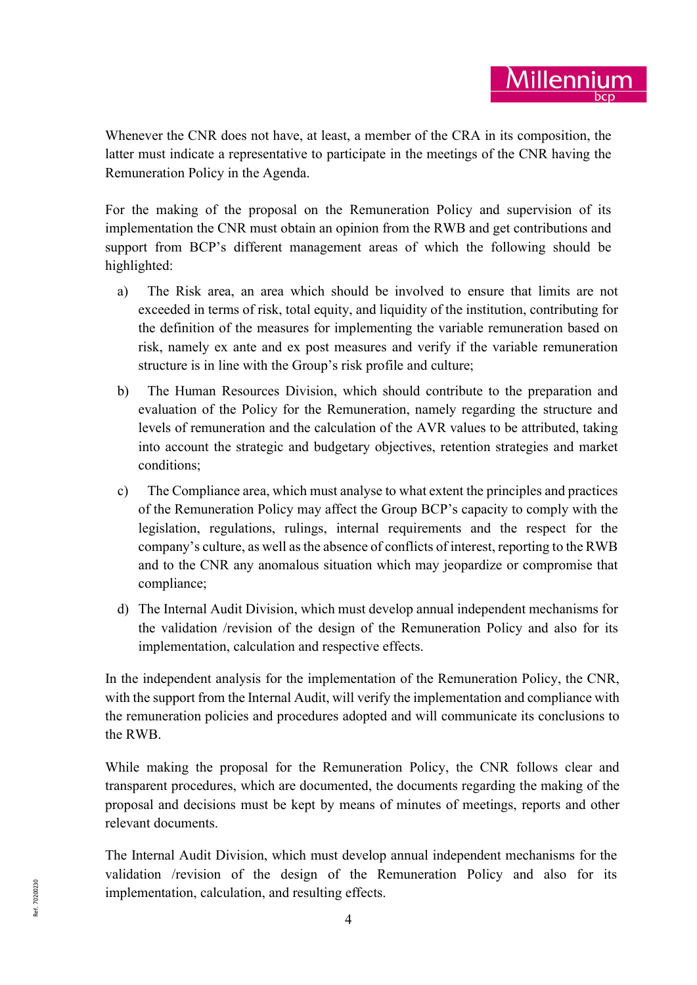Whenever the CNR does not have, at least, a member of the CRA in its composition, the latter must indicate a representative to participate in the meetings of the CNR having the Remuneration Policy in the Agenda.

For the making of the proposal on the Remuneration Policy and supervision of its implementation the CNR must obtain an opinion from the RWB and get contributions and support from BCP's different management areas of which the following should be highlighted:

- a) The Risk area, an area which should be involved to ensure that limits are not exceeded in terms of risk, total equity, and liquidity of the institution, contributing for the definition of the measures for implementing the variable remuneration based on risk, namely ex ante and ex post measures and verify if the variable remuneration structure is in line with the Group's risk profile and culture;
- b) The Human Resources Division, which should contribute to the preparation and evaluation of the Policy for the Remuneration, namely regarding the structure and levels of remuneration and the calculation of the AVR values to be attributed, taking into account the strategic and budgetary objectives, retention strategies and market conditions;
- c) The Compliance area, which must analyse to what extent the principles and practices of the Remuneration Policy may affect the Group BCP's capacity to comply with the legislation, regulations, rulings, internal requirements and the respect for the company's culture, as well as the absence of conflicts of interest, reporting to the RWB and to the CNR any anomalous situation which may jeopardize or compromise that compliance;
- d) The Internal Audit Division, which must develop annual independent mechanisms for the validation /revision of the design of the Remuneration Policy and also for its implementation, calculation and respective effects.

In the independent analysis for the implementation of the Remuneration Policy, the CNR, with the support from the Internal Audit, will verify the implementation and compliance with the remuneration policies and procedures adopted and will communicate its conclusions to the RWB.

While making the proposal for the Remuneration Policy, the CNR follows clear and transparent procedures, which are documented, the documents regarding the making of the proposal and decisions must be kept by means of minutes of meetings, reports and other relevant documents.

 $\frac{2}{30}$  implementation, calculation, and resulting effects.<br> $\frac{2}{3}$  4 The Internal Audit Division, which must develop annual independent mechanisms for the validation /revision of the design of the Remuneration Policy and also for its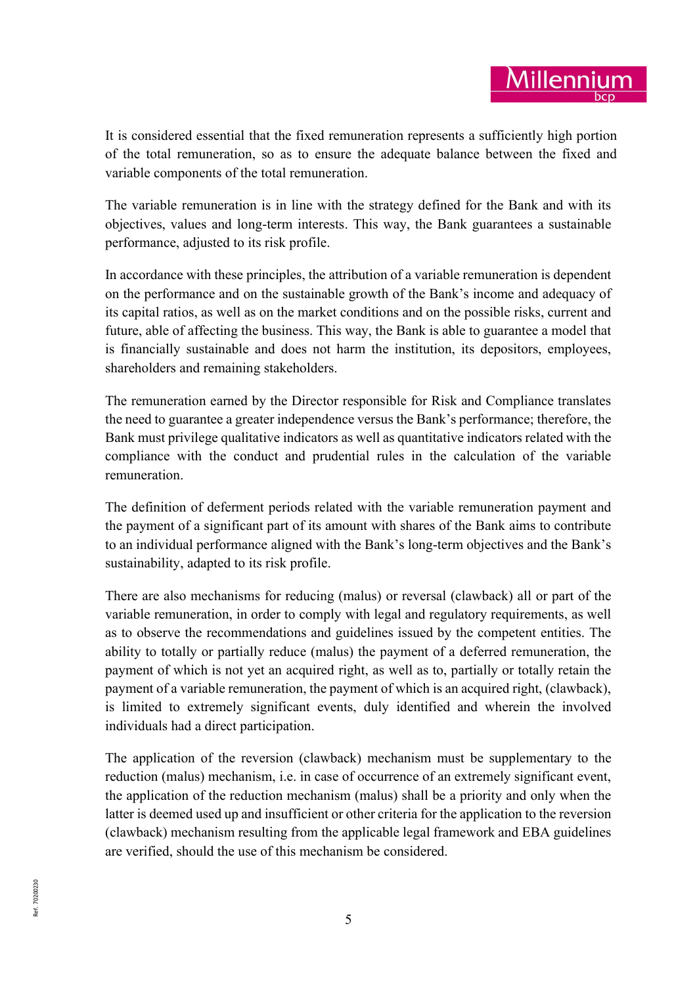It is considered essential that the fixed remuneration represents a sufficiently high portion of the total remuneration, so as to ensure the adequate balance between the fixed and variable components of the total remuneration.

The variable remuneration is in line with the strategy defined for the Bank and with its objectives, values and long-term interests. This way, the Bank guarantees a sustainable performance, adjusted to its risk profile.

In accordance with these principles, the attribution of a variable remuneration is dependent on the performance and on the sustainable growth of the Bank's income and adequacy of its capital ratios, as well as on the market conditions and on the possible risks, current and future, able of affecting the business. This way, the Bank is able to guarantee a model that is financially sustainable and does not harm the institution, its depositors, employees, shareholders and remaining stakeholders.

The remuneration earned by the Director responsible for Risk and Compliance translates the need to guarantee a greater independence versus the Bank's performance; therefore, the Bank must privilege qualitative indicators as well as quantitative indicators related with the compliance with the conduct and prudential rules in the calculation of the variable remuneration.

The definition of deferment periods related with the variable remuneration payment and the payment of a significant part of its amount with shares of the Bank aims to contribute to an individual performance aligned with the Bank's long-term objectives and the Bank's sustainability, adapted to its risk profile.

There are also mechanisms for reducing (malus) or reversal (clawback) all or part of the variable remuneration, in order to comply with legal and regulatory requirements, as well as to observe the recommendations and guidelines issued by the competent entities. The ability to totally or partially reduce (malus) the payment of a deferred remuneration, the payment of which is not yet an acquired right, as well as to, partially or totally retain the payment of a variable remuneration, the payment of which is an acquired right, (clawback), is limited to extremely significant events, duly identified and wherein the involved individuals had a direct participation.

The application of the reversion (clawback) mechanism must be supplementary to the reduction (malus) mechanism, i.e. in case of occurrence of an extremely significant event, the application of the reduction mechanism (malus) shall be a priority and only when the latter is deemed used up and insufficient or other criteria for the application to the reversion (clawback) mechanism resulting from the applicable legal framework and EBA guidelines are verified, should the use of this mechanism be considered.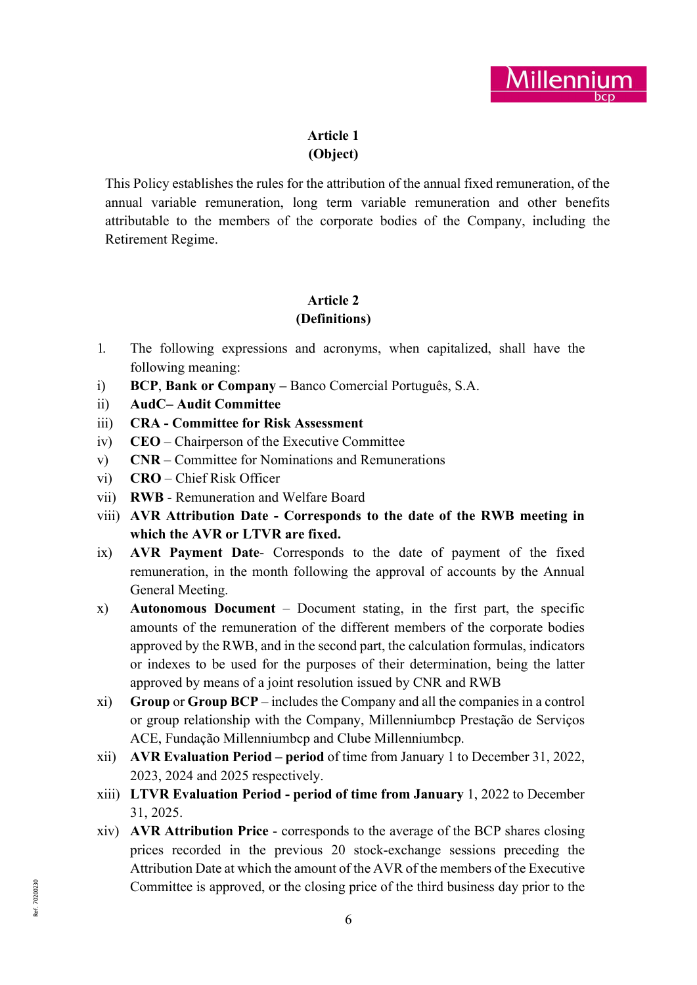

# Article 1 (Object)

This Policy establishes the rules for the attribution of the annual fixed remuneration, of the annual variable remuneration, long term variable remuneration and other benefits attributable to the members of the corporate bodies of the Company, including the Retirement Regime.

# Article 2 (Definitions)

- 1. The following expressions and acronyms, when capitalized, shall have the following meaning:
- i) BCP, Bank or Company Banco Comercial Português, S.A.
- ii) AudC– Audit Committee
- iii) CRA Committee for Risk Assessment
- iv) CEO Chairperson of the Executive Committee
- v) CNR Committee for Nominations and Remunerations
- vi) CRO Chief Risk Officer
- vii) RWB Remuneration and Welfare Board
- viii) AVR Attribution Date Corresponds to the date of the RWB meeting in which the AVR or LTVR are fixed.
- ix) AVR Payment Date- Corresponds to the date of payment of the fixed remuneration, in the month following the approval of accounts by the Annual General Meeting.
- x) Autonomous Document Document stating, in the first part, the specific amounts of the remuneration of the different members of the corporate bodies approved by the RWB, and in the second part, the calculation formulas, indicators or indexes to be used for the purposes of their determination, being the latter approved by means of a joint resolution issued by CNR and RWB
- xi) Group or Group BCP includes the Company and all the companies in a control or group relationship with the Company, Millenniumbcp Prestação de Serviços ACE, Fundação Millenniumbcp and Clube Millenniumbcp.
- xii) AVR Evaluation Period period of time from January 1 to December 31, 2022, 2023, 2024 and 2025 respectively.
- xiii) LTVR Evaluation Period period of time from January 1, 2022 to December 31, 2025.
- Example 1.12 Committee is approved, or the closing price of the third business day prior to the  $\frac{1}{2}$ xiv) AVR Attribution Price - corresponds to the average of the BCP shares closing prices recorded in the previous 20 stock-exchange sessions preceding the Attribution Date at which the amount of the AVR of the members of the Executive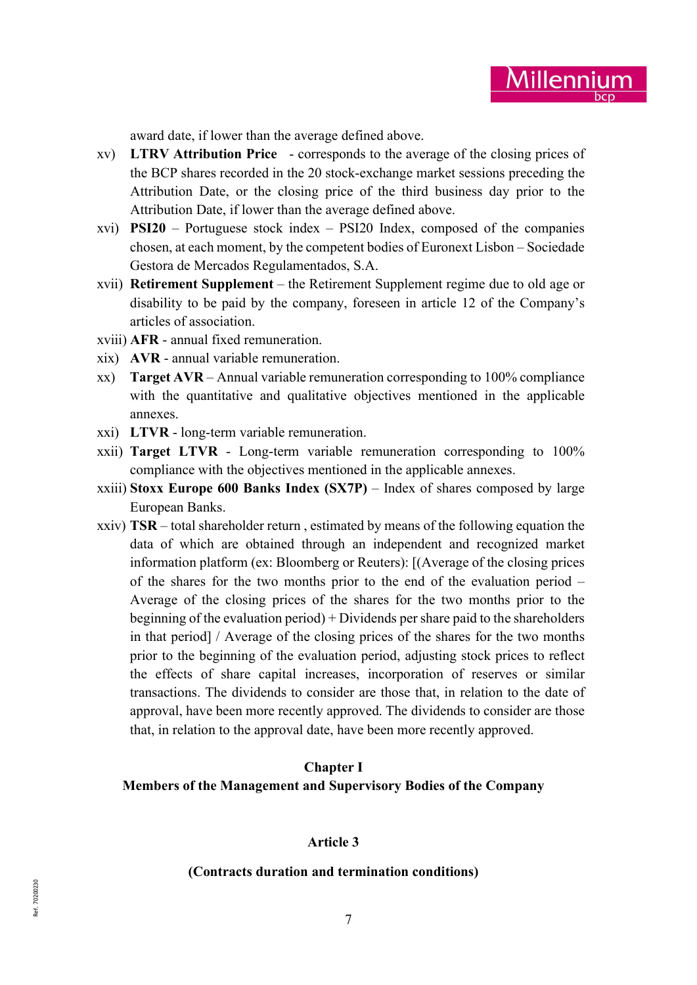

award date, if lower than the average defined above.

- xv) LTRV Attribution Price corresponds to the average of the closing prices of the BCP shares recorded in the 20 stock-exchange market sessions preceding the Attribution Date, or the closing price of the third business day prior to the Attribution Date, if lower than the average defined above.
- xvi) PSI20 Portuguese stock index PSI20 Index, composed of the companies chosen, at each moment, by the competent bodies of Euronext Lisbon – Sociedade Gestora de Mercados Regulamentados, S.A.
- xvii) Retirement Supplement the Retirement Supplement regime due to old age or disability to be paid by the company, foreseen in article 12 of the Company's articles of association.
- xviii) AFR annual fixed remuneration.
- xix) AVR annual variable remuneration.
- xx) Target AVR Annual variable remuneration corresponding to 100% compliance with the quantitative and qualitative objectives mentioned in the applicable annexes.
- xxi) LTVR long-term variable remuneration.
- xxii) Target LTVR Long-term variable remuneration corresponding to 100% compliance with the objectives mentioned in the applicable annexes.
- xxiii) Stoxx Europe 600 Banks Index (SX7P) Index of shares composed by large European Banks.
- xxiv) TSR total shareholder return , estimated by means of the following equation the data of which are obtained through an independent and recognized market information platform (ex: Bloomberg or Reuters): [(Average of the closing prices of the shares for the two months prior to the end of the evaluation period – Average of the closing prices of the shares for the two months prior to the beginning of the evaluation period) + Dividends per share paid to the shareholders in that period] / Average of the closing prices of the shares for the two months prior to the beginning of the evaluation period, adjusting stock prices to reflect the effects of share capital increases, incorporation of reserves or similar transactions. The dividends to consider are those that, in relation to the date of approval, have been more recently approved. The dividends to consider are those that, in relation to the approval date, have been more recently approved.

### Chapter I

#### Members of the Management and Supervisory Bodies of the Company

#### Article 3

#### (Contracts duration and termination conditions)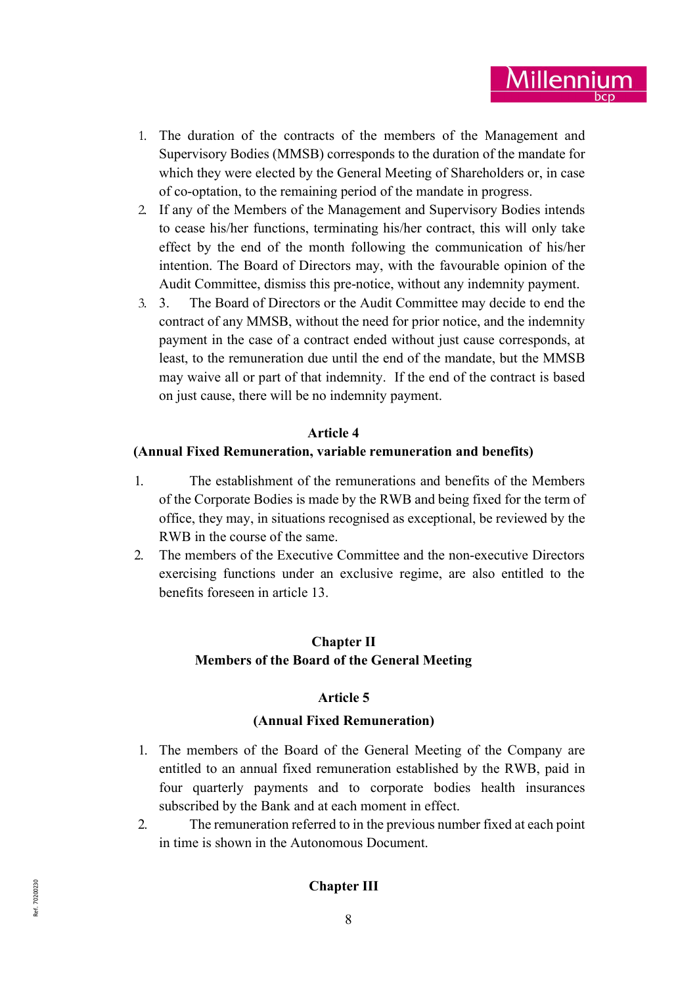

- 1. The duration of the contracts of the members of the Management and Supervisory Bodies (MMSB) corresponds to the duration of the mandate for which they were elected by the General Meeting of Shareholders or, in case of co-optation, to the remaining period of the mandate in progress.
- 2. If any of the Members of the Management and Supervisory Bodies intends to cease his/her functions, terminating his/her contract, this will only take effect by the end of the month following the communication of his/her intention. The Board of Directors may, with the favourable opinion of the Audit Committee, dismiss this pre-notice, without any indemnity payment.
- 3. 3. The Board of Directors or the Audit Committee may decide to end the contract of any MMSB, without the need for prior notice, and the indemnity payment in the case of a contract ended without just cause corresponds, at least, to the remuneration due until the end of the mandate, but the MMSB may waive all or part of that indemnity. If the end of the contract is based on just cause, there will be no indemnity payment.

#### Article 4

#### (Annual Fixed Remuneration, variable remuneration and benefits)

- 1. The establishment of the remunerations and benefits of the Members of the Corporate Bodies is made by the RWB and being fixed for the term of office, they may, in situations recognised as exceptional, be reviewed by the RWB in the course of the same.
- 2. The members of the Executive Committee and the non-executive Directors exercising functions under an exclusive regime, are also entitled to the benefits foreseen in article 13.

### Chapter II Members of the Board of the General Meeting

### Article 5

#### (Annual Fixed Remuneration)

- 1. The members of the Board of the General Meeting of the Company are entitled to an annual fixed remuneration established by the RWB, paid in four quarterly payments and to corporate bodies health insurances subscribed by the Bank and at each moment in effect.
- 2. The remuneration referred to in the previous number fixed at each point in time is shown in the Autonomous Document.

# $\sum_{\substack{\text{R}}\in \mathbb{Z}^2\\ \text{R}}$  and  $\sum_{\substack{\text{R}}\in \mathbb{Z}^2\\ \text{R}}$  and  $\sum_{\substack{\text{R}}\in \mathbb{Z}^2\\ \text{R}}$  and  $\sum_{\substack{\text{R}}\in \mathbb{Z}^2\\ \text{R}}$  and  $\sum_{\substack{\text{R}}\in \mathbb{Z}^2\\ \text{R}}$  and  $\sum_{\substack{\text{R}}\in \mathbb{Z}^2\\ \text{R}}$  and  $\sum_{\substack{\text{R}}\in \mathbb$ Chapter III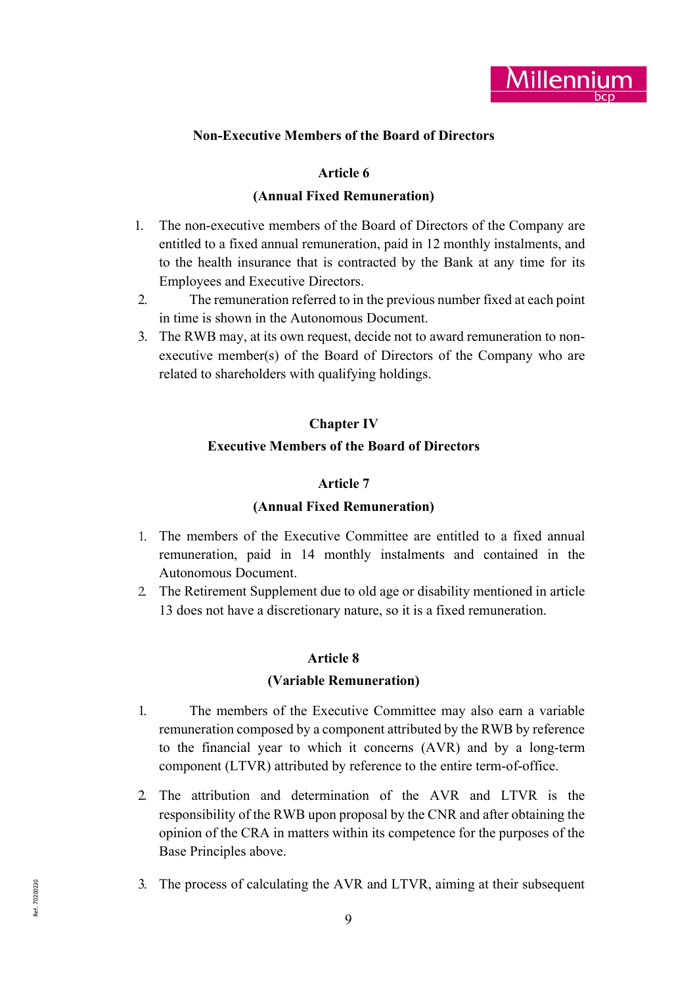

### Non-Executive Members of the Board of Directors

### Article 6

#### (Annual Fixed Remuneration)

- 1. The non-executive members of the Board of Directors of the Company are entitled to a fixed annual remuneration, paid in 12 monthly instalments, and to the health insurance that is contracted by the Bank at any time for its Employees and Executive Directors.
- 2. The remuneration referred to in the previous number fixed at each point in time is shown in the Autonomous Document.
- 3. The RWB may, at its own request, decide not to award remuneration to nonexecutive member(s) of the Board of Directors of the Company who are related to shareholders with qualifying holdings.

### Chapter IV

#### Executive Members of the Board of Directors

#### Article 7

#### (Annual Fixed Remuneration)

- 1. The members of the Executive Committee are entitled to a fixed annual remuneration, paid in 14 monthly instalments and contained in the Autonomous Document.
- 2. The Retirement Supplement due to old age or disability mentioned in article 13 does not have a discretionary nature, so it is a fixed remuneration.

### Article 8

#### (Variable Remuneration)

- 1. The members of the Executive Committee may also earn a variable remuneration composed by a component attributed by the RWB by reference to the financial year to which it concerns (AVR) and by a long-term component (LTVR) attributed by reference to the entire term-of-office.
- 2. The attribution and determination of the AVR and LTVR is the responsibility of the RWB upon proposal by the CNR and after obtaining the opinion of the CRA in matters within its competence for the purposes of the Base Principles above.
- 3. The process of calculating the AVR and LTVR, aiming at their subsequent  $\frac{1}{2}$ <br> $\frac{9}{2}$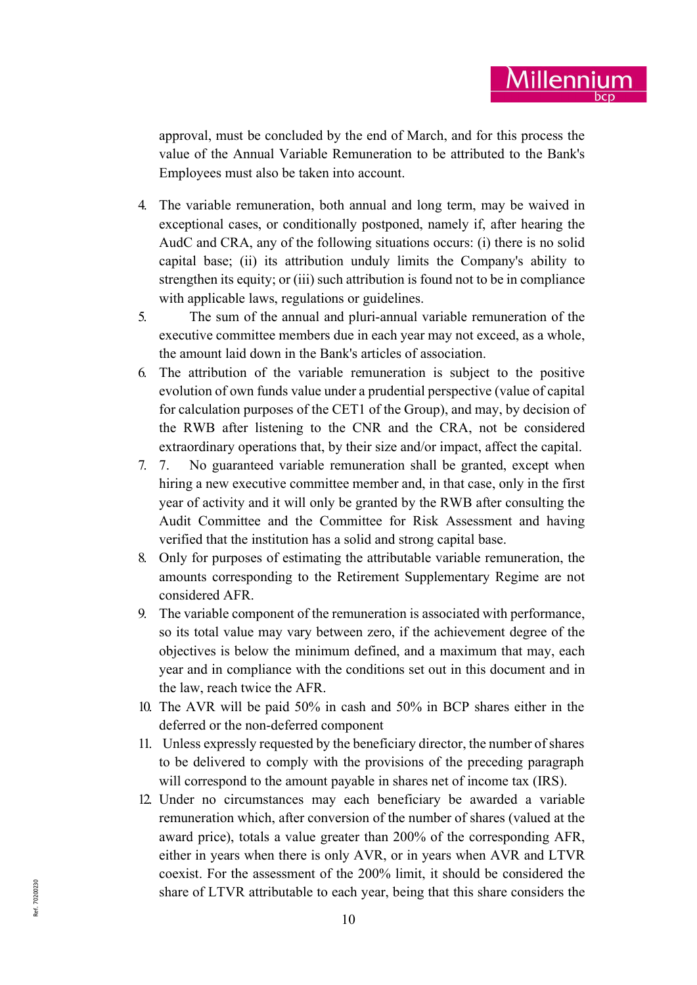approval, must be concluded by the end of March, and for this process the value of the Annual Variable Remuneration to be attributed to the Bank's Employees must also be taken into account.

<u>Millenniur</u>

- 4. The variable remuneration, both annual and long term, may be waived in exceptional cases, or conditionally postponed, namely if, after hearing the AudC and CRA, any of the following situations occurs: (i) there is no solid capital base; (ii) its attribution unduly limits the Company's ability to strengthen its equity; or (iii) such attribution is found not to be in compliance with applicable laws, regulations or guidelines.
- 5. The sum of the annual and pluri-annual variable remuneration of the executive committee members due in each year may not exceed, as a whole, the amount laid down in the Bank's articles of association.
- 6. The attribution of the variable remuneration is subject to the positive evolution of own funds value under a prudential perspective (value of capital for calculation purposes of the CET1 of the Group), and may, by decision of the RWB after listening to the CNR and the CRA, not be considered extraordinary operations that, by their size and/or impact, affect the capital.
- 7. 7. No guaranteed variable remuneration shall be granted, except when hiring a new executive committee member and, in that case, only in the first year of activity and it will only be granted by the RWB after consulting the Audit Committee and the Committee for Risk Assessment and having verified that the institution has a solid and strong capital base.
- 8. Only for purposes of estimating the attributable variable remuneration, the amounts corresponding to the Retirement Supplementary Regime are not considered AFR.
- 9. The variable component of the remuneration is associated with performance, so its total value may vary between zero, if the achievement degree of the objectives is below the minimum defined, and a maximum that may, each year and in compliance with the conditions set out in this document and in the law, reach twice the AFR.
- 10. The AVR will be paid 50% in cash and 50% in BCP shares either in the deferred or the non-deferred component
- 11. Unless expressly requested by the beneficiary director, the number of shares to be delivered to comply with the provisions of the preceding paragraph will correspond to the amount payable in shares net of income tax (IRS).
- share of LTVR attributable to each year, being that this share considers the  $\frac{10}{3}$ 12. Under no circumstances may each beneficiary be awarded a variable remuneration which, after conversion of the number of shares (valued at the award price), totals a value greater than 200% of the corresponding AFR, either in years when there is only AVR, or in years when AVR and LTVR coexist. For the assessment of the 200% limit, it should be considered the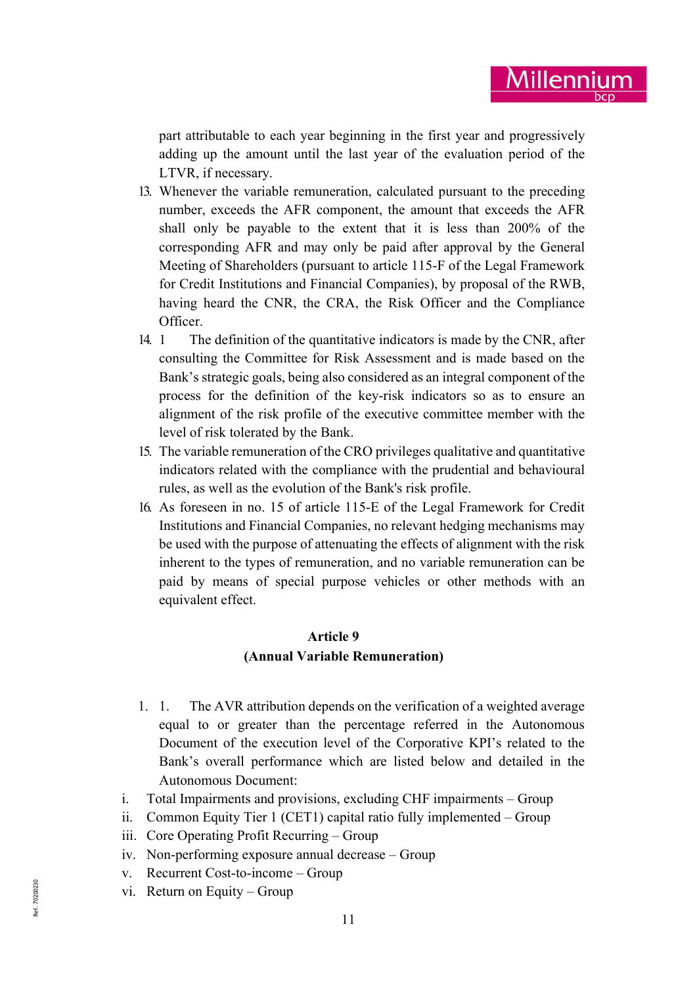part attributable to each year beginning in the first year and progressively adding up the amount until the last year of the evaluation period of the LTVR, if necessary.

- 13. Whenever the variable remuneration, calculated pursuant to the preceding number, exceeds the AFR component, the amount that exceeds the AFR shall only be payable to the extent that it is less than 200% of the corresponding AFR and may only be paid after approval by the General Meeting of Shareholders (pursuant to article 115-F of the Legal Framework for Credit Institutions and Financial Companies), by proposal of the RWB, having heard the CNR, the CRA, the Risk Officer and the Compliance Officer.
- 14. 1 The definition of the quantitative indicators is made by the CNR, after consulting the Committee for Risk Assessment and is made based on the Bank's strategic goals, being also considered as an integral component of the process for the definition of the key-risk indicators so as to ensure an alignment of the risk profile of the executive committee member with the level of risk tolerated by the Bank.
- 15. The variable remuneration of the CRO privileges qualitative and quantitative indicators related with the compliance with the prudential and behavioural rules, as well as the evolution of the Bank's risk profile.
- 16. As foreseen in no. 15 of article 115-E of the Legal Framework for Credit Institutions and Financial Companies, no relevant hedging mechanisms may be used with the purpose of attenuating the effects of alignment with the risk inherent to the types of remuneration, and no variable remuneration can be paid by means of special purpose vehicles or other methods with an equivalent effect.

# Article 9 (Annual Variable Remuneration)

- 1. 1. The AVR attribution depends on the verification of a weighted average equal to or greater than the percentage referred in the Autonomous Document of the execution level of the Corporative KPI's related to the Bank's overall performance which are listed below and detailed in the Autonomous Document:
- i. Total Impairments and provisions, excluding CHF impairments Group
- ii. Common Equity Tier 1 (CET1) capital ratio fully implemented Group
- iii. Core Operating Profit Recurring Group
- iv. Non-performing exposure annual decrease Group
- v. Recurrent Cost-to-income Group
- vi. Return on Equity Group<br>  $\sum_{k=1}^{\infty}$  11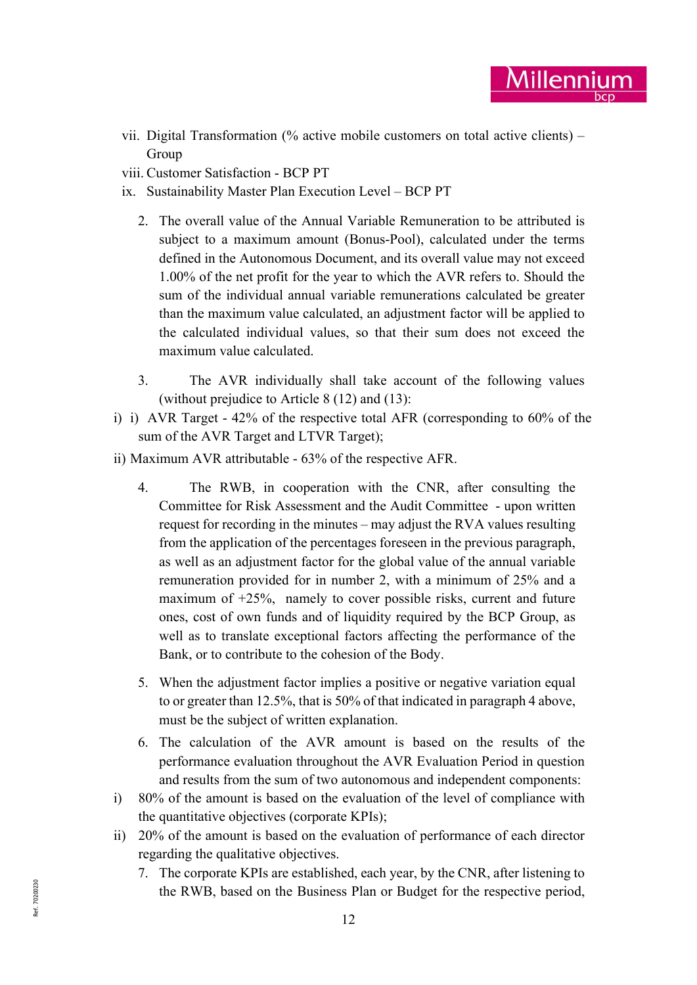vii. Digital Transformation (% active mobile customers on total active clients) – Group

Millenni

- viii. Customer Satisfaction BCP PT
- ix. Sustainability Master Plan Execution Level BCP PT
	- 2. The overall value of the Annual Variable Remuneration to be attributed is subject to a maximum amount (Bonus-Pool), calculated under the terms defined in the Autonomous Document, and its overall value may not exceed 1.00% of the net profit for the year to which the AVR refers to. Should the sum of the individual annual variable remunerations calculated be greater than the maximum value calculated, an adjustment factor will be applied to the calculated individual values, so that their sum does not exceed the maximum value calculated.
	- 3. The AVR individually shall take account of the following values (without prejudice to Article 8 (12) and (13):
- i) i) AVR Target 42% of the respective total AFR (corresponding to 60% of the sum of the AVR Target and LTVR Target);
- ii) Maximum AVR attributable 63% of the respective AFR.
	- 4. The RWB, in cooperation with the CNR, after consulting the Committee for Risk Assessment and the Audit Committee - upon written request for recording in the minutes – may adjust the RVA values resulting from the application of the percentages foreseen in the previous paragraph, as well as an adjustment factor for the global value of the annual variable remuneration provided for in number 2, with a minimum of 25% and a maximum of +25%, namely to cover possible risks, current and future ones, cost of own funds and of liquidity required by the BCP Group, as well as to translate exceptional factors affecting the performance of the Bank, or to contribute to the cohesion of the Body.
	- 5. When the adjustment factor implies a positive or negative variation equal to or greater than 12.5%, that is 50% of that indicated in paragraph 4 above, must be the subject of written explanation.
	- 6. The calculation of the AVR amount is based on the results of the performance evaluation throughout the AVR Evaluation Period in question and results from the sum of two autonomous and independent components:
- i) 80% of the amount is based on the evaluation of the level of compliance with the quantitative objectives (corporate KPIs);
- ii) 20% of the amount is based on the evaluation of performance of each director regarding the qualitative objectives.
- the RWB, based on the Business Plan or Budget for the respective period,<br>  $\frac{12}{3}$ 7. The corporate KPIs are established, each year, by the CNR, after listening to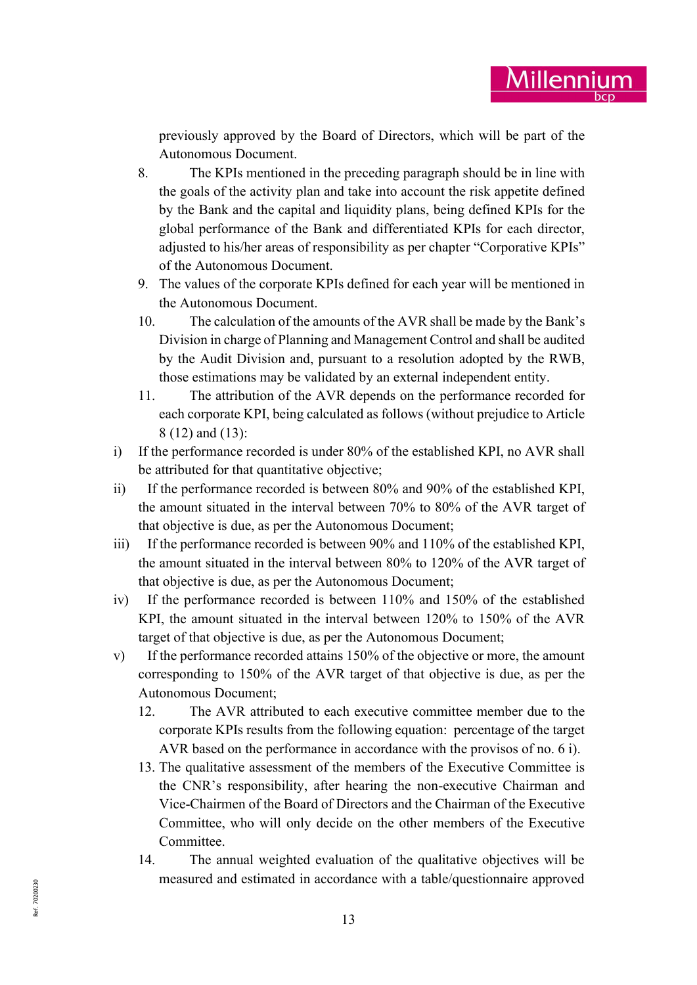previously approved by the Board of Directors, which will be part of the Autonomous Document.

- 8. The KPIs mentioned in the preceding paragraph should be in line with the goals of the activity plan and take into account the risk appetite defined by the Bank and the capital and liquidity plans, being defined KPIs for the global performance of the Bank and differentiated KPIs for each director, adjusted to his/her areas of responsibility as per chapter "Corporative KPIs" of the Autonomous Document.
- 9. The values of the corporate KPIs defined for each year will be mentioned in the Autonomous Document.
- 10. The calculation of the amounts of the AVR shall be made by the Bank's Division in charge of Planning and Management Control and shall be audited by the Audit Division and, pursuant to a resolution adopted by the RWB, those estimations may be validated by an external independent entity.
- 11. The attribution of the AVR depends on the performance recorded for each corporate KPI, being calculated as follows (without prejudice to Article 8 (12) and (13):
- i) If the performance recorded is under 80% of the established KPI, no AVR shall be attributed for that quantitative objective;
- ii) If the performance recorded is between 80% and 90% of the established KPI, the amount situated in the interval between 70% to 80% of the AVR target of that objective is due, as per the Autonomous Document;
- iii) If the performance recorded is between 90% and 110% of the established KPI, the amount situated in the interval between 80% to 120% of the AVR target of that objective is due, as per the Autonomous Document;
- iv) If the performance recorded is between 110% and 150% of the established KPI, the amount situated in the interval between 120% to 150% of the AVR target of that objective is due, as per the Autonomous Document;
- v) If the performance recorded attains 150% of the objective or more, the amount corresponding to 150% of the AVR target of that objective is due, as per the Autonomous Document;
	- 12. The AVR attributed to each executive committee member due to the corporate KPIs results from the following equation: percentage of the target AVR based on the performance in accordance with the provisos of no. 6 i).
	- 13. The qualitative assessment of the members of the Executive Committee is the CNR's responsibility, after hearing the non-executive Chairman and Vice-Chairmen of the Board of Directors and the Chairman of the Executive Committee, who will only decide on the other members of the Executive Committee.
- $R_{\rm g}$ <sup>32</sup><br> $R_{\rm g}$ <sup>2</sup><br> $\frac{1}{2}$ <sup>2</sup><br><sup>2</sup> 14. The annual weighted evaluation of the qualitative objectives will be measured and estimated in accordance with a table/questionnaire approved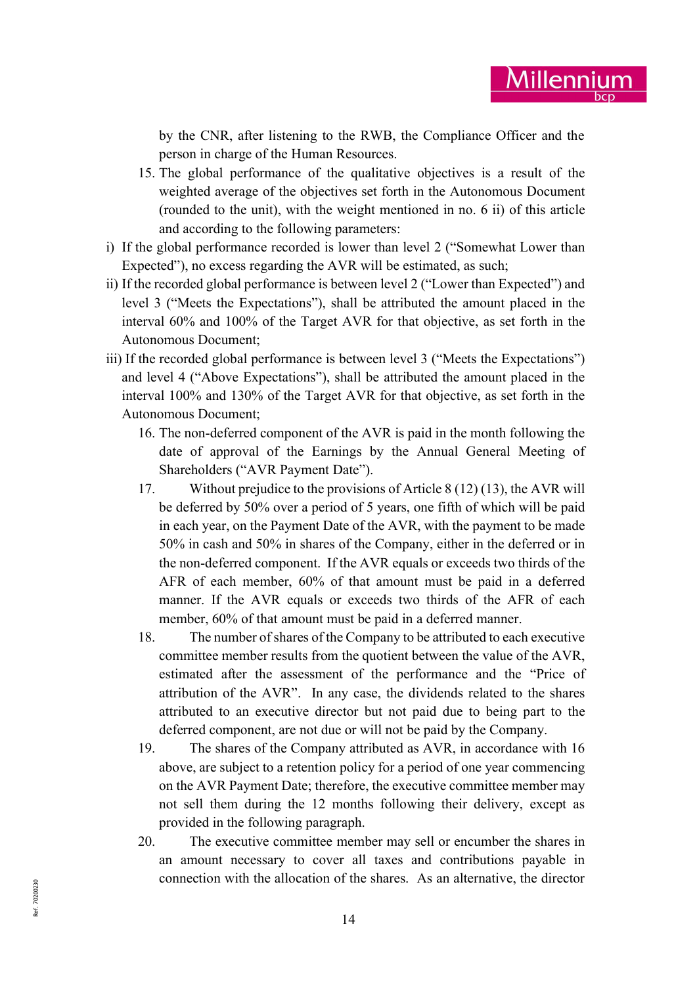by the CNR, after listening to the RWB, the Compliance Officer and the person in charge of the Human Resources.

- 15. The global performance of the qualitative objectives is a result of the weighted average of the objectives set forth in the Autonomous Document (rounded to the unit), with the weight mentioned in no. 6 ii) of this article and according to the following parameters:
- i) If the global performance recorded is lower than level 2 ("Somewhat Lower than Expected"), no excess regarding the AVR will be estimated, as such;
- ii) If the recorded global performance is between level 2 ("Lower than Expected") and level 3 ("Meets the Expectations"), shall be attributed the amount placed in the interval 60% and 100% of the Target AVR for that objective, as set forth in the Autonomous Document;
- iii) If the recorded global performance is between level 3 ("Meets the Expectations") and level 4 ("Above Expectations"), shall be attributed the amount placed in the interval 100% and 130% of the Target AVR for that objective, as set forth in the Autonomous Document;
	- 16. The non-deferred component of the AVR is paid in the month following the date of approval of the Earnings by the Annual General Meeting of Shareholders ("AVR Payment Date").
	- 17. Without prejudice to the provisions of Article 8 (12) (13), the AVR will be deferred by 50% over a period of 5 years, one fifth of which will be paid in each year, on the Payment Date of the AVR, with the payment to be made 50% in cash and 50% in shares of the Company, either in the deferred or in the non-deferred component. If the AVR equals or exceeds two thirds of the AFR of each member, 60% of that amount must be paid in a deferred manner. If the AVR equals or exceeds two thirds of the AFR of each member, 60% of that amount must be paid in a deferred manner.
	- 18. The number of shares of the Company to be attributed to each executive committee member results from the quotient between the value of the AVR, estimated after the assessment of the performance and the "Price of attribution of the AVR". In any case, the dividends related to the shares attributed to an executive director but not paid due to being part to the deferred component, are not due or will not be paid by the Company.
	- 19. The shares of the Company attributed as AVR, in accordance with 16 above, are subject to a retention policy for a period of one year commencing on the AVR Payment Date; therefore, the executive committee member may not sell them during the 12 months following their delivery, except as provided in the following paragraph.
- $R_{\frac{1}{2}}$   $\frac{1}{4}$ 20. The executive committee member may sell or encumber the shares in an amount necessary to cover all taxes and contributions payable in connection with the allocation of the shares. As an alternative, the director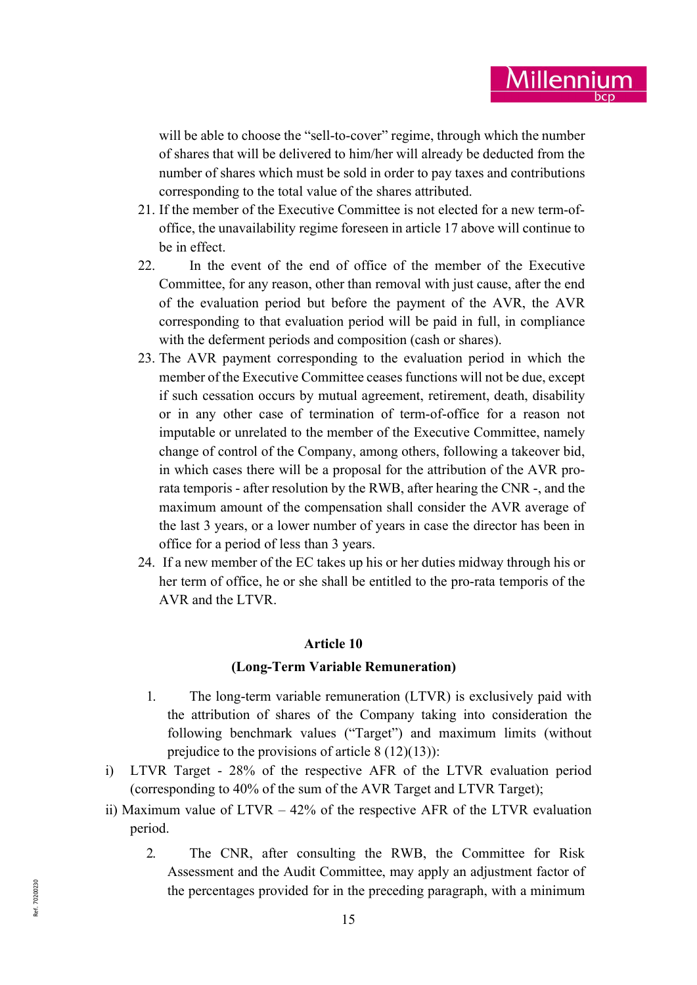will be able to choose the "sell-to-cover" regime, through which the number of shares that will be delivered to him/her will already be deducted from the number of shares which must be sold in order to pay taxes and contributions corresponding to the total value of the shares attributed.

- 21. If the member of the Executive Committee is not elected for a new term-ofoffice, the unavailability regime foreseen in article 17 above will continue to be in effect.
- 22. In the event of the end of office of the member of the Executive Committee, for any reason, other than removal with just cause, after the end of the evaluation period but before the payment of the AVR, the AVR corresponding to that evaluation period will be paid in full, in compliance with the deferment periods and composition (cash or shares).
- 23. The AVR payment corresponding to the evaluation period in which the member of the Executive Committee ceases functions will not be due, except if such cessation occurs by mutual agreement, retirement, death, disability or in any other case of termination of term-of-office for a reason not imputable or unrelated to the member of the Executive Committee, namely change of control of the Company, among others, following a takeover bid, in which cases there will be a proposal for the attribution of the AVR prorata temporis - after resolution by the RWB, after hearing the CNR -, and the maximum amount of the compensation shall consider the AVR average of the last 3 years, or a lower number of years in case the director has been in office for a period of less than 3 years.
- 24. If a new member of the EC takes up his or her duties midway through his or her term of office, he or she shall be entitled to the pro-rata temporis of the AVR and the LTVR.

### Article 10

### (Long-Term Variable Remuneration)

- 1. The long-term variable remuneration (LTVR) is exclusively paid with the attribution of shares of the Company taking into consideration the following benchmark values ("Target") and maximum limits (without prejudice to the provisions of article 8 (12)(13)):
- i) LTVR Target 28% of the respective AFR of the LTVR evaluation period (corresponding to 40% of the sum of the AVR Target and LTVR Target);
- ii) Maximum value of LTVR 42% of the respective AFR of the LTVR evaluation period.
- the percentages provided for in the preceding paragraph, with a minimum<br>  $\frac{15}{2}$ 2. The CNR, after consulting the RWB, the Committee for Risk Assessment and the Audit Committee, may apply an adjustment factor of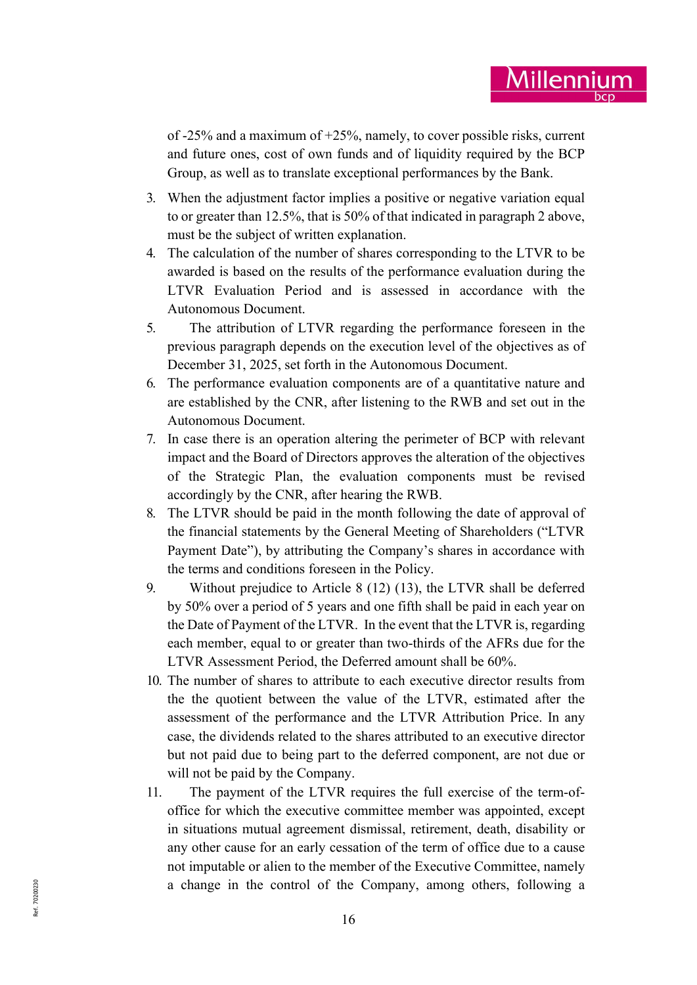of -25% and a maximum of +25%, namely, to cover possible risks, current and future ones, cost of own funds and of liquidity required by the BCP Group, as well as to translate exceptional performances by the Bank.

- 3. When the adjustment factor implies a positive or negative variation equal to or greater than 12.5%, that is 50% of that indicated in paragraph 2 above, must be the subject of written explanation.
- 4. The calculation of the number of shares corresponding to the LTVR to be awarded is based on the results of the performance evaluation during the LTVR Evaluation Period and is assessed in accordance with the Autonomous Document.
- 5. The attribution of LTVR regarding the performance foreseen in the previous paragraph depends on the execution level of the objectives as of December 31, 2025, set forth in the Autonomous Document.
- 6. The performance evaluation components are of a quantitative nature and are established by the CNR, after listening to the RWB and set out in the Autonomous Document.
- 7. In case there is an operation altering the perimeter of BCP with relevant impact and the Board of Directors approves the alteration of the objectives of the Strategic Plan, the evaluation components must be revised accordingly by the CNR, after hearing the RWB.
- 8. The LTVR should be paid in the month following the date of approval of the financial statements by the General Meeting of Shareholders ("LTVR Payment Date"), by attributing the Company's shares in accordance with the terms and conditions foreseen in the Policy.
- 9. Without prejudice to Article 8 (12) (13), the LTVR shall be deferred by 50% over a period of 5 years and one fifth shall be paid in each year on the Date of Payment of the LTVR. In the event that the LTVR is, regarding each member, equal to or greater than two-thirds of the AFRs due for the LTVR Assessment Period, the Deferred amount shall be 60%.
- 10. The number of shares to attribute to each executive director results from the the quotient between the value of the LTVR, estimated after the assessment of the performance and the LTVR Attribution Price. In any case, the dividends related to the shares attributed to an executive director but not paid due to being part to the deferred component, are not due or will not be paid by the Company.
- a change in the control of the Company, among others, following a<br> $\frac{16}{2}$ 11. The payment of the LTVR requires the full exercise of the term-ofoffice for which the executive committee member was appointed, except in situations mutual agreement dismissal, retirement, death, disability or any other cause for an early cessation of the term of office due to a cause not imputable or alien to the member of the Executive Committee, namely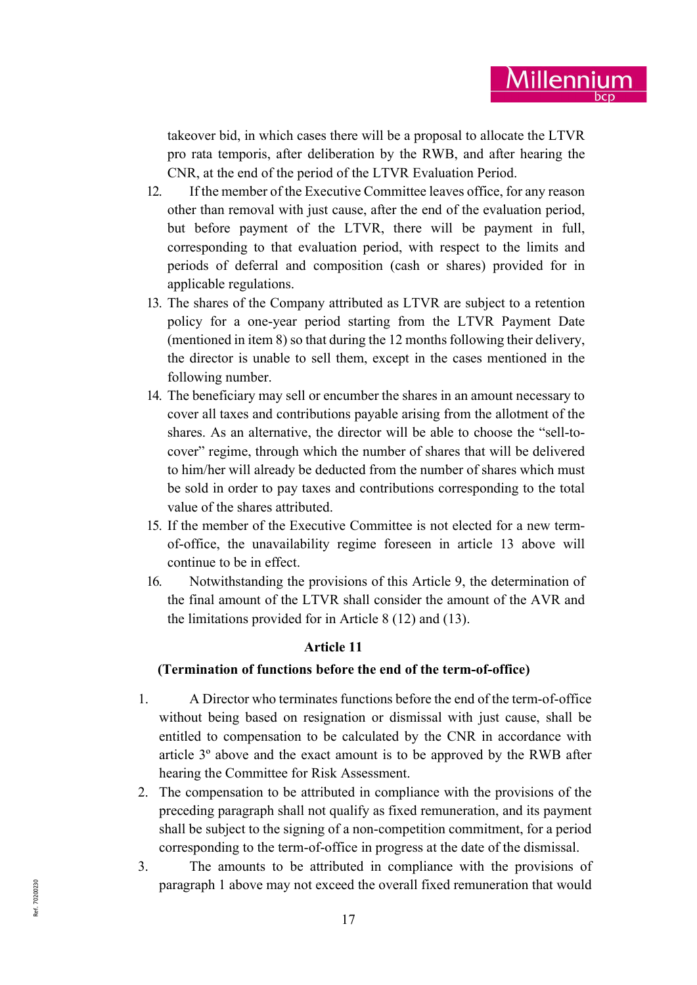takeover bid, in which cases there will be a proposal to allocate the LTVR pro rata temporis, after deliberation by the RWB, and after hearing the CNR, at the end of the period of the LTVR Evaluation Period.

- 12. If the member of the Executive Committee leaves office, for any reason other than removal with just cause, after the end of the evaluation period, but before payment of the LTVR, there will be payment in full, corresponding to that evaluation period, with respect to the limits and periods of deferral and composition (cash or shares) provided for in applicable regulations.
- 13. The shares of the Company attributed as LTVR are subject to a retention policy for a one-year period starting from the LTVR Payment Date (mentioned in item 8) so that during the 12 months following their delivery, the director is unable to sell them, except in the cases mentioned in the following number.
- 14. The beneficiary may sell or encumber the shares in an amount necessary to cover all taxes and contributions payable arising from the allotment of the shares. As an alternative, the director will be able to choose the "sell-tocover" regime, through which the number of shares that will be delivered to him/her will already be deducted from the number of shares which must be sold in order to pay taxes and contributions corresponding to the total value of the shares attributed.
- 15. If the member of the Executive Committee is not elected for a new termof-office, the unavailability regime foreseen in article 13 above will continue to be in effect.
- 16. Notwithstanding the provisions of this Article 9, the determination of the final amount of the LTVR shall consider the amount of the AVR and the limitations provided for in Article 8 (12) and (13).

# Article 11

# (Termination of functions before the end of the term-of-office)

- 1. A Director who terminates functions before the end of the term-of-office without being based on resignation or dismissal with just cause, shall be entitled to compensation to be calculated by the CNR in accordance with article 3º above and the exact amount is to be approved by the RWB after hearing the Committee for Risk Assessment.
- 2. The compensation to be attributed in compliance with the provisions of the preceding paragraph shall not qualify as fixed remuneration, and its payment shall be subject to the signing of a non-competition commitment, for a period corresponding to the term-of-office in progress at the date of the dismissal.
- paragraph 1 above may not exceed the overall fixed remuneration that would<br>  $\frac{17}{2}$ 3. The amounts to be attributed in compliance with the provisions of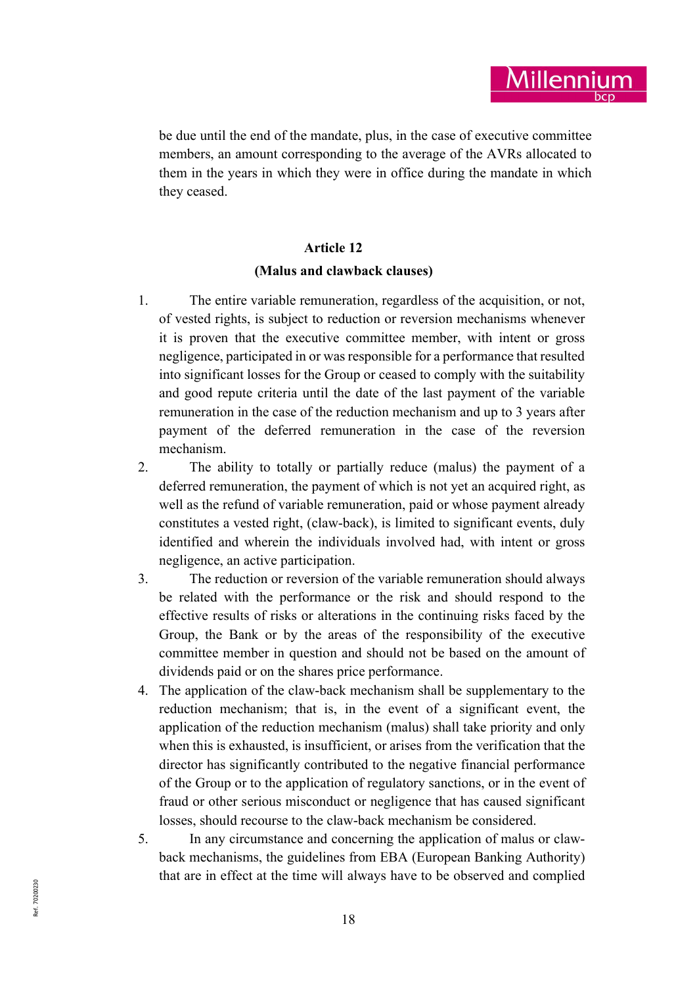be due until the end of the mandate, plus, in the case of executive committee members, an amount corresponding to the average of the AVRs allocated to them in the years in which they were in office during the mandate in which they ceased.

Aillenn

### Article 12

### (Malus and clawback clauses)

- 1. The entire variable remuneration, regardless of the acquisition, or not, of vested rights, is subject to reduction or reversion mechanisms whenever it is proven that the executive committee member, with intent or gross negligence, participated in or was responsible for a performance that resulted into significant losses for the Group or ceased to comply with the suitability and good repute criteria until the date of the last payment of the variable remuneration in the case of the reduction mechanism and up to 3 years after payment of the deferred remuneration in the case of the reversion mechanism.
- 2. The ability to totally or partially reduce (malus) the payment of a deferred remuneration, the payment of which is not yet an acquired right, as well as the refund of variable remuneration, paid or whose payment already constitutes a vested right, (claw-back), is limited to significant events, duly identified and wherein the individuals involved had, with intent or gross negligence, an active participation.
- 3. The reduction or reversion of the variable remuneration should always be related with the performance or the risk and should respond to the effective results of risks or alterations in the continuing risks faced by the Group, the Bank or by the areas of the responsibility of the executive committee member in question and should not be based on the amount of dividends paid or on the shares price performance.
- 4. The application of the claw-back mechanism shall be supplementary to the reduction mechanism; that is, in the event of a significant event, the application of the reduction mechanism (malus) shall take priority and only when this is exhausted, is insufficient, or arises from the verification that the director has significantly contributed to the negative financial performance of the Group or to the application of regulatory sanctions, or in the event of fraud or other serious misconduct or negligence that has caused significant losses, should recourse to the claw-back mechanism be considered.
- $\sum_{n=1}^{\infty}$ 5. In any circumstance and concerning the application of malus or clawback mechanisms, the guidelines from EBA (European Banking Authority) that are in effect at the time will always have to be observed and complied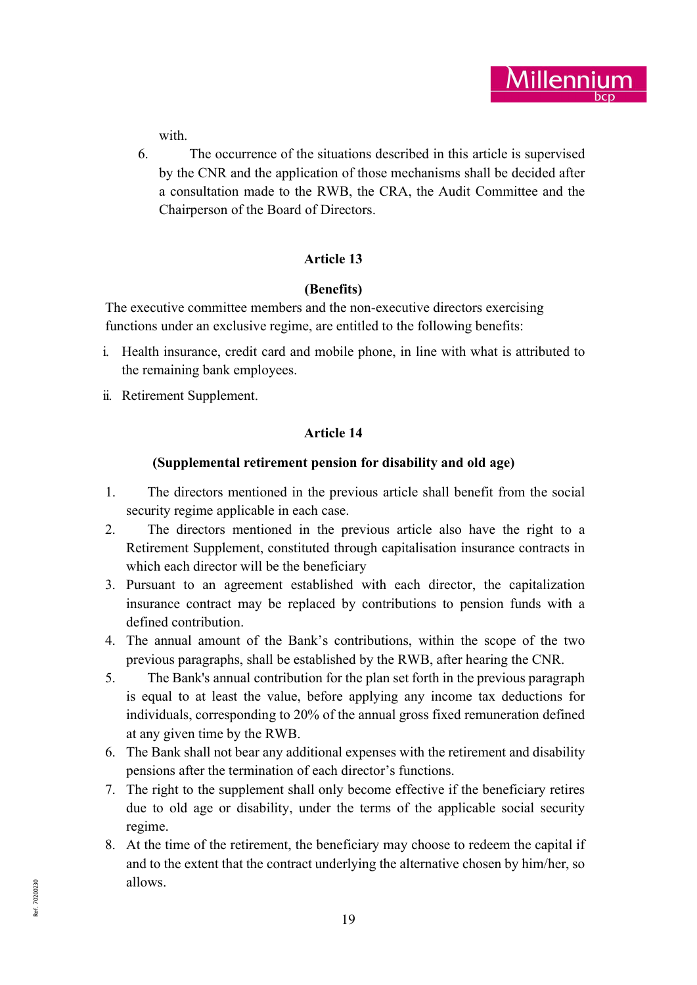

with.

6. The occurrence of the situations described in this article is supervised by the CNR and the application of those mechanisms shall be decided after a consultation made to the RWB, the CRA, the Audit Committee and the Chairperson of the Board of Directors.

# Article 13

# (Benefits)

The executive committee members and the non-executive directors exercising functions under an exclusive regime, are entitled to the following benefits:

- i. Health insurance, credit card and mobile phone, in line with what is attributed to the remaining bank employees.
- ii. Retirement Supplement.

# Article 14

# (Supplemental retirement pension for disability and old age)

- 1. The directors mentioned in the previous article shall benefit from the social security regime applicable in each case.
- 2. The directors mentioned in the previous article also have the right to a Retirement Supplement, constituted through capitalisation insurance contracts in which each director will be the beneficiary
- 3. Pursuant to an agreement established with each director, the capitalization insurance contract may be replaced by contributions to pension funds with a defined contribution.
- 4. The annual amount of the Bank's contributions, within the scope of the two previous paragraphs, shall be established by the RWB, after hearing the CNR.
- 5. The Bank's annual contribution for the plan set forth in the previous paragraph is equal to at least the value, before applying any income tax deductions for individuals, corresponding to 20% of the annual gross fixed remuneration defined at any given time by the RWB.
- 6. The Bank shall not bear any additional expenses with the retirement and disability pensions after the termination of each director's functions.
- 7. The right to the supplement shall only become effective if the beneficiary retires due to old age or disability, under the terms of the applicable social security regime.
- $R_{\text{R}}$ <br>  $\frac{R}{\alpha}$ <br>  $\frac{R}{\alpha}$ <br>  $\frac{R}{\alpha}$  19 8. At the time of the retirement, the beneficiary may choose to redeem the capital if and to the extent that the contract underlying the alternative chosen by him/her, so allows.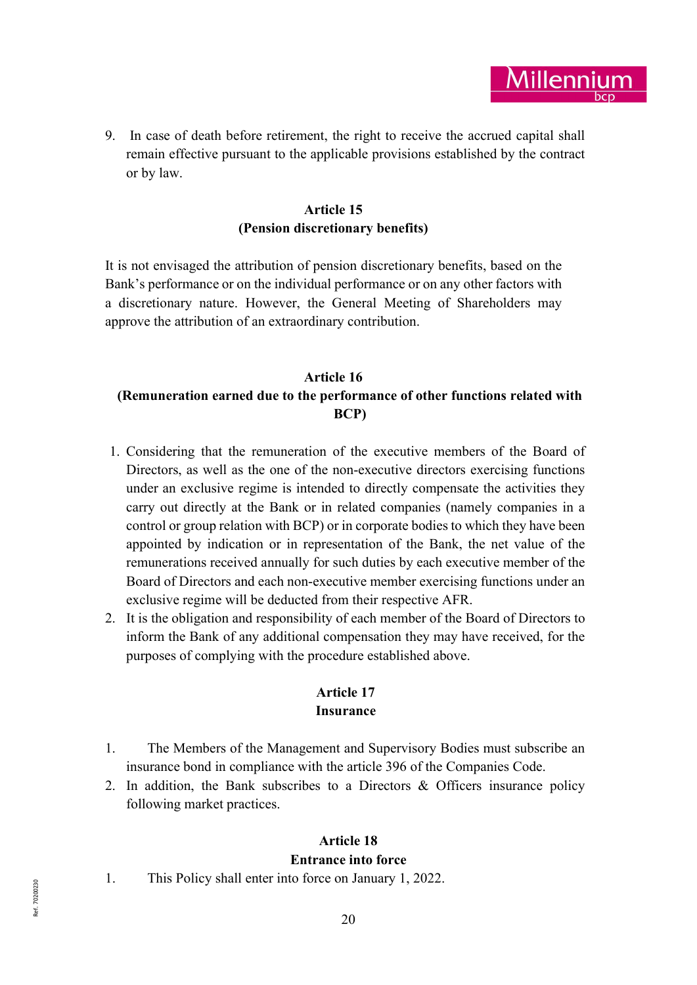**lillenn** 

9. In case of death before retirement, the right to receive the accrued capital shall remain effective pursuant to the applicable provisions established by the contract or by law.

# Article 15 (Pension discretionary benefits)

It is not envisaged the attribution of pension discretionary benefits, based on the Bank's performance or on the individual performance or on any other factors with a discretionary nature. However, the General Meeting of Shareholders may approve the attribution of an extraordinary contribution.

# Article 16 (Remuneration earned due to the performance of other functions related with BCP)

- 1. Considering that the remuneration of the executive members of the Board of Directors, as well as the one of the non-executive directors exercising functions under an exclusive regime is intended to directly compensate the activities they carry out directly at the Bank or in related companies (namely companies in a control or group relation with BCP) or in corporate bodies to which they have been appointed by indication or in representation of the Bank, the net value of the remunerations received annually for such duties by each executive member of the Board of Directors and each non-executive member exercising functions under an exclusive regime will be deducted from their respective AFR.
- 2. It is the obligation and responsibility of each member of the Board of Directors to inform the Bank of any additional compensation they may have received, for the purposes of complying with the procedure established above.

# Article 17 Insurance

- 1. The Members of the Management and Supervisory Bodies must subscribe an insurance bond in compliance with the article 396 of the Companies Code.
- 2. In addition, the Bank subscribes to a Directors & Officers insurance policy following market practices.

# Article 18

# Entrance into force

 $R_{\frac{1}{2}}$ <br> $R_{\frac{1}{2}}$ <br> $20$ 1. This Policy shall enter into force on January 1, 2022.